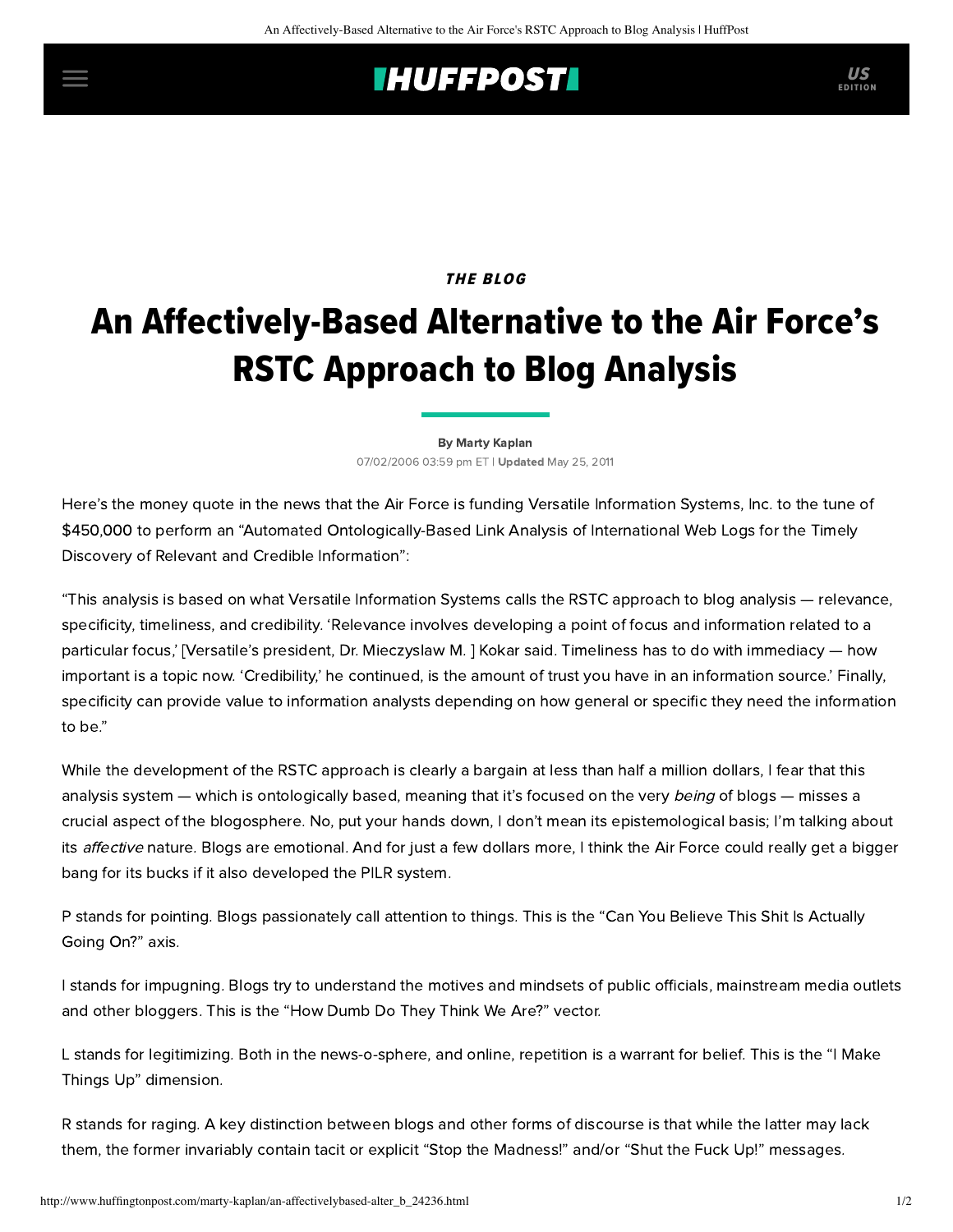## **IHUFFPOSTI** US

### THE BLOG

# An Affectively-Based Alternative to the Air Force's RSTC Approach to Blog Analysis

[By Marty Kaplan](http://www.huffingtonpost.com/author/marty-kaplan) 07/02/2006 03:59 pm ET | Updated May 25, 2011

Here's the money quote in the [news](http://www.defenselink.mil/transformation/articles/2006-06/ta062906b.html) that the Air Force is funding Versatile Information Systems, Inc. to the tune of \$450,000 to perform an "Automated Ontologically-Based Link Analysis of International Web Logs for the Timely Discovery of Relevant and Credible Information":

"This analysis is based on what Versatile Information Systems calls the RSTC approach to blog analysis — relevance, specificity, timeliness, and credibility. 'Relevance involves developing a point of focus and information related to a particular focus,' [Versatile's president, Dr. Mieczyslaw M. ] Kokar said. Timeliness has to do with immediacy — how important is a topic now. 'Credibility,' he continued, is the amount of trust you have in an information source.' Finally, specificity can provide value to information analysts depending on how general or specific they need the information to be."

While the development of the RSTC approach is clearly a bargain at less than half a million dollars, I fear that this analysis system — which is ontologically based, meaning that it's focused on the very being of blogs — misses a crucial aspect of the blogosphere. No, put your hands down, I don't mean its epistemological basis; I'm talking about its affective nature. Blogs are emotional. And for just a few dollars more, I think the Air Force could really get a bigger bang for its bucks if it also developed the PILR system.

P stands for pointing. Blogs passionately call attention to things. This is the "Can You Believe This Shit Is Actually Going On?" axis.

I stands for impugning. Blogs try to understand the motives and mindsets of public officials, mainstream media outlets and other bloggers. This is the "How Dumb Do They Think We Are?" vector.

L stands for legitimizing. Both in the news-o-sphere, and online, repetition is a warrant for belief. This is the "I Make Things Up" dimension.

R stands for raging. A key distinction between blogs and other forms of discourse is that while the latter may lack them, the former invariably contain tacit or explicit "Stop the Madness!" and/or "Shut the Fuck Up!" messages.